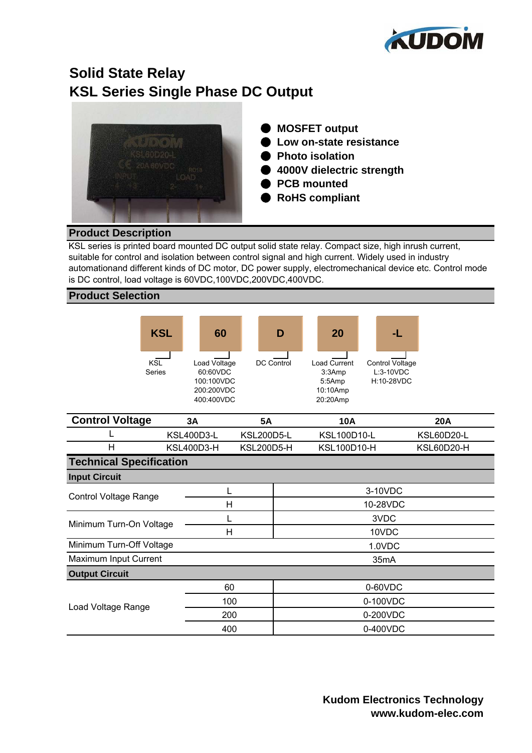

# **KSL Series Single Phase DC Output Solid State Relay**



- ● **MOSFET output**
- ● **Low on-state resistance**
- ● **Photo isolation**
- ● **4000V dielectric strength**
- ● **PCB mounted**
- ● **RoHS compliant**

## **Product Description**

KSL series is printed board mounted DC output solid state relay. Compact size, high inrush current, suitable for control and isolation between control signal and high current. Widely used in industry automationand different kinds of DC motor, DC power supply, electromechanical device etc. Control mode is DC control, load voltage is 60VDC,100VDC,200VDC,400VDC.

#### **Product Selection**



| OVIN VI TVINYV                 | ◡◠                | ◡◠                |                   | רשו                | ⊷∽                |  |
|--------------------------------|-------------------|-------------------|-------------------|--------------------|-------------------|--|
|                                | <b>KSL400D3-L</b> | <b>KSL200D5-L</b> |                   | <b>KSL100D10-L</b> | <b>KSL60D20-L</b> |  |
| н                              | KSL400D3-H        | <b>KSL200D5-H</b> |                   | <b>KSL100D10-H</b> | KSL60D20-H        |  |
| <b>Technical Specification</b> |                   |                   |                   |                    |                   |  |
| <b>Input Circuit</b>           |                   |                   |                   |                    |                   |  |
| <b>Control Voltage Range</b>   |                   |                   |                   | 3-10VDC            |                   |  |
|                                |                   | Н                 |                   | 10-28VDC           |                   |  |
| Minimum Turn-On Voltage        |                   |                   |                   | 3VDC               |                   |  |
|                                |                   | Н                 |                   | 10VDC              |                   |  |
| Minimum Turn-Off Voltage       |                   |                   |                   | 1.0VDC             |                   |  |
| Maximum Input Current          |                   |                   | 35 <sub>m</sub> A |                    |                   |  |
| <b>Output Circuit</b>          |                   |                   |                   |                    |                   |  |
| Load Voltage Range             |                   | 60                |                   | 0-60VDC            |                   |  |
|                                |                   | 100               |                   | 0-100VDC           |                   |  |
|                                |                   | 200               |                   | 0-200VDC           |                   |  |
|                                |                   | 400               |                   | 0-400VDC           |                   |  |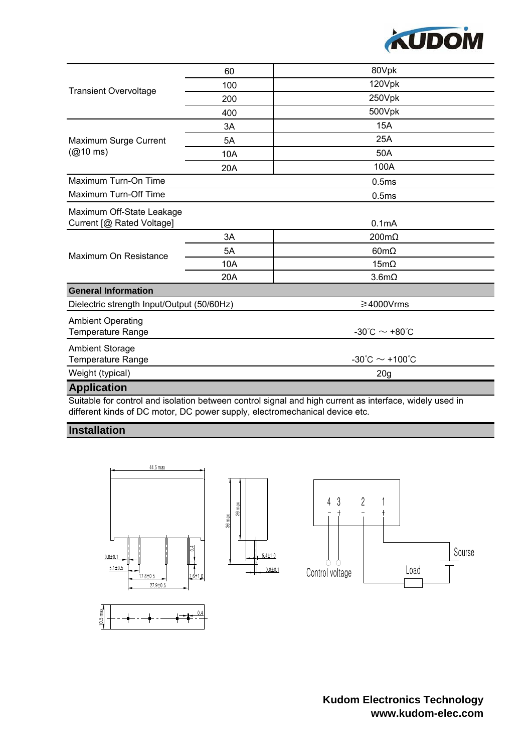

|                                             | 60  | 80Vpk                                    |  |  |
|---------------------------------------------|-----|------------------------------------------|--|--|
| <b>Transient Overvoltage</b>                | 100 | 120Vpk                                   |  |  |
|                                             | 200 | 250Vpk                                   |  |  |
|                                             | 400 | 500Vpk                                   |  |  |
| Maximum Surge Current<br>$(@10 \text{ ms})$ | 3A  | 15A                                      |  |  |
|                                             | 5A  | 25A                                      |  |  |
|                                             | 10A | 50A                                      |  |  |
|                                             | 20A | 100A                                     |  |  |
| Maximum Turn-On Time                        |     | 0.5ms                                    |  |  |
| Maximum Turn-Off Time                       |     | 0.5ms                                    |  |  |
| Maximum Off-State Leakage                   |     |                                          |  |  |
| Current [@ Rated Voltage]                   |     | 0.1mA                                    |  |  |
|                                             | 3A  | $200 \text{m}\Omega$                     |  |  |
| Maximum On Resistance                       | 5A  | $60m\Omega$                              |  |  |
|                                             | 10A | $15m\Omega$                              |  |  |
|                                             | 20A | 3.6m <sub>Ω</sub>                        |  |  |
| <b>General Information</b>                  |     |                                          |  |  |
| Dielectric strength Input/Output (50/60Hz)  |     | ≥4000Vrms                                |  |  |
| <b>Ambient Operating</b>                    |     |                                          |  |  |
| Temperature Range                           |     | $-30^{\circ}$ C ~ +80 $^{\circ}$ C       |  |  |
| <b>Ambient Storage</b>                      |     |                                          |  |  |
| Temperature Range                           |     | $-30^{\circ}$ C $\sim$ +100 $^{\circ}$ C |  |  |
| Weight (typical)                            |     | 20 <sub>g</sub>                          |  |  |
| <b>Application</b>                          |     |                                          |  |  |

Suitable for control and isolation between control signal and high current as interface, widely used in different kinds of DC motor, DC power supply, electromechanical device etc.

#### **Installation**